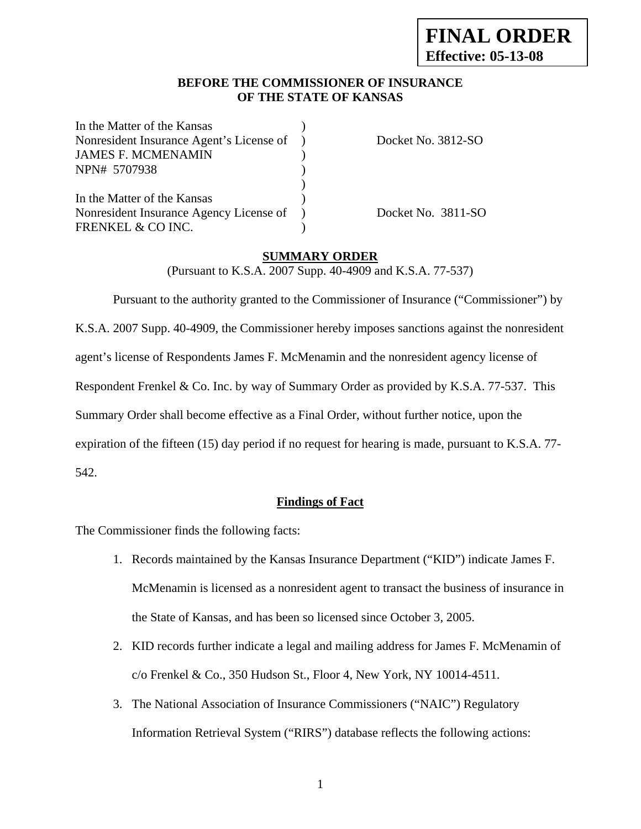## **BEFORE THE COMMISSIONER OF INSURANCE OF THE STATE OF KANSAS**

| In the Matter of the Kansas              |                    |
|------------------------------------------|--------------------|
| Nonresident Insurance Agent's License of | Docket No. 3812-SO |
| <b>JAMES F. MCMENAMIN</b>                |                    |
| NPN# 5707938                             |                    |
|                                          |                    |
| In the Matter of the Kansas              |                    |
| Nonresident Insurance Agency License of  | Docket No. 3811-SO |
| FRENKEL & CO INC.                        |                    |

### **SUMMARY ORDER**

(Pursuant to K.S.A. 2007 Supp. 40-4909 and K.S.A. 77-537)

 Pursuant to the authority granted to the Commissioner of Insurance ("Commissioner") by K.S.A. 2007 Supp. 40-4909, the Commissioner hereby imposes sanctions against the nonresident agent's license of Respondents James F. McMenamin and the nonresident agency license of Respondent Frenkel & Co. Inc. by way of Summary Order as provided by K.S.A. 77-537. This Summary Order shall become effective as a Final Order, without further notice, upon the expiration of the fifteen (15) day period if no request for hearing is made, pursuant to K.S.A. 77- 542.

### **Findings of Fact**

The Commissioner finds the following facts:

- 1. Records maintained by the Kansas Insurance Department ("KID") indicate James F. McMenamin is licensed as a nonresident agent to transact the business of insurance in the State of Kansas, and has been so licensed since October 3, 2005.
- 2. KID records further indicate a legal and mailing address for James F. McMenamin of c/o Frenkel & Co., 350 Hudson St., Floor 4, New York, NY 10014-4511.
- 3. The National Association of Insurance Commissioners ("NAIC") Regulatory Information Retrieval System ("RIRS") database reflects the following actions: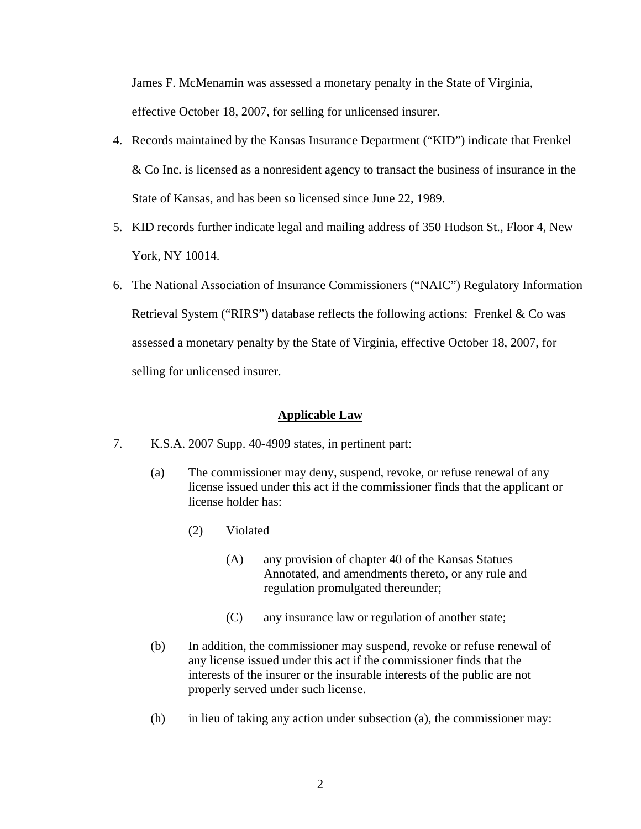James F. McMenamin was assessed a monetary penalty in the State of Virginia,

effective October 18, 2007, for selling for unlicensed insurer.

- 4. Records maintained by the Kansas Insurance Department ("KID") indicate that Frenkel & Co Inc. is licensed as a nonresident agency to transact the business of insurance in the State of Kansas, and has been so licensed since June 22, 1989.
- 5. KID records further indicate legal and mailing address of 350 Hudson St., Floor 4, New York, NY 10014.
- 6. The National Association of Insurance Commissioners ("NAIC") Regulatory Information Retrieval System ("RIRS") database reflects the following actions: Frenkel & Co was assessed a monetary penalty by the State of Virginia, effective October 18, 2007, for selling for unlicensed insurer.

## **Applicable Law**

- 7. K.S.A. 2007 Supp. 40-4909 states, in pertinent part:
	- (a) The commissioner may deny, suspend, revoke, or refuse renewal of any license issued under this act if the commissioner finds that the applicant or license holder has:
		- (2) Violated
			- (A) any provision of chapter 40 of the Kansas Statues Annotated, and amendments thereto, or any rule and regulation promulgated thereunder;
			- (C) any insurance law or regulation of another state;
	- (b) In addition, the commissioner may suspend, revoke or refuse renewal of any license issued under this act if the commissioner finds that the interests of the insurer or the insurable interests of the public are not properly served under such license.
	- (h) in lieu of taking any action under subsection (a), the commissioner may: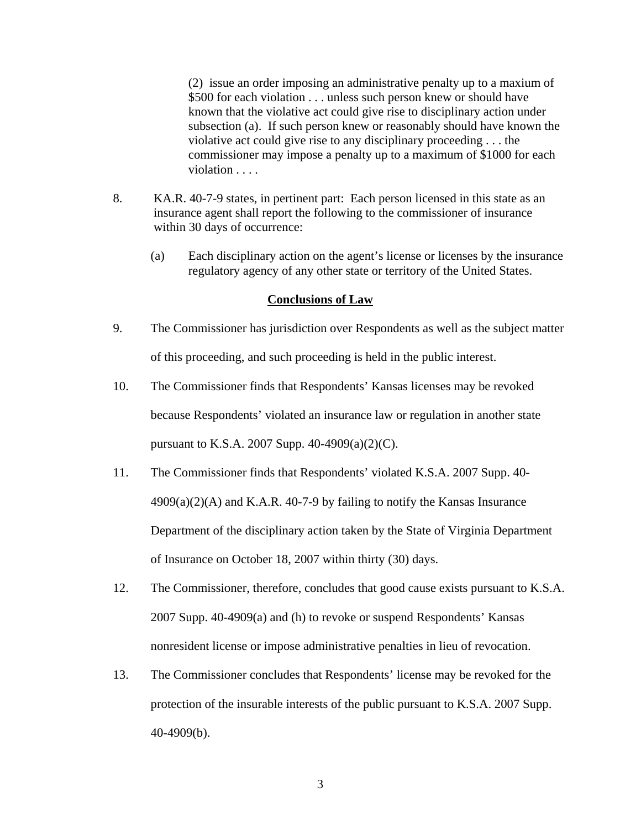(2) issue an order imposing an administrative penalty up to a maxium of \$500 for each violation . . . unless such person knew or should have known that the violative act could give rise to disciplinary action under subsection (a). If such person knew or reasonably should have known the violative act could give rise to any disciplinary proceeding . . . the commissioner may impose a penalty up to a maximum of \$1000 for each violation . . . .

- 8. KA.R. 40-7-9 states, in pertinent part: Each person licensed in this state as an insurance agent shall report the following to the commissioner of insurance within 30 days of occurrence:
	- (a) Each disciplinary action on the agent's license or licenses by the insurance regulatory agency of any other state or territory of the United States.

#### **Conclusions of Law**

- 9. The Commissioner has jurisdiction over Respondents as well as the subject matter of this proceeding, and such proceeding is held in the public interest.
- 10. The Commissioner finds that Respondents' Kansas licenses may be revoked because Respondents' violated an insurance law or regulation in another state pursuant to K.S.A. 2007 Supp. 40-4909(a)(2)(C).
- 11. The Commissioner finds that Respondents' violated K.S.A. 2007 Supp. 40-  $4909(a)(2)$ (A) and K.A.R. 40-7-9 by failing to notify the Kansas Insurance Department of the disciplinary action taken by the State of Virginia Department of Insurance on October 18, 2007 within thirty (30) days.
- 12. The Commissioner, therefore, concludes that good cause exists pursuant to K.S.A. 2007 Supp. 40-4909(a) and (h) to revoke or suspend Respondents' Kansas nonresident license or impose administrative penalties in lieu of revocation.
- 13. The Commissioner concludes that Respondents' license may be revoked for the protection of the insurable interests of the public pursuant to K.S.A. 2007 Supp. 40-4909(b).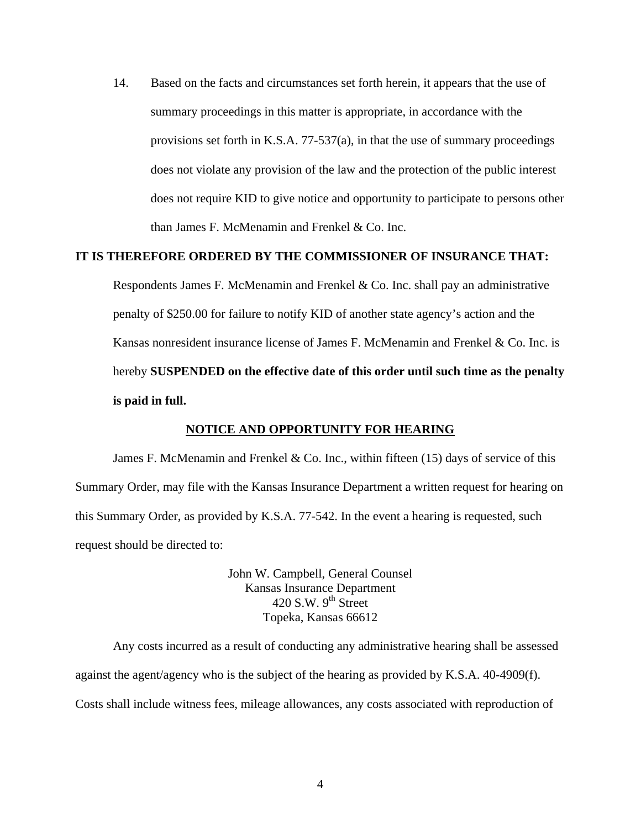14. Based on the facts and circumstances set forth herein, it appears that the use of summary proceedings in this matter is appropriate, in accordance with the provisions set forth in K.S.A. 77-537(a), in that the use of summary proceedings does not violate any provision of the law and the protection of the public interest does not require KID to give notice and opportunity to participate to persons other than James F. McMenamin and Frenkel & Co. Inc.

#### **IT IS THEREFORE ORDERED BY THE COMMISSIONER OF INSURANCE THAT:**

Respondents James F. McMenamin and Frenkel & Co. Inc. shall pay an administrative penalty of \$250.00 for failure to notify KID of another state agency's action and the Kansas nonresident insurance license of James F. McMenamin and Frenkel & Co. Inc. is hereby **SUSPENDED on the effective date of this order until such time as the penalty is paid in full.** 

#### **NOTICE AND OPPORTUNITY FOR HEARING**

James F. McMenamin and Frenkel & Co. Inc., within fifteen  $(15)$  days of service of this Summary Order, may file with the Kansas Insurance Department a written request for hearing on this Summary Order, as provided by K.S.A. 77-542. In the event a hearing is requested, such request should be directed to:

> John W. Campbell, General Counsel Kansas Insurance Department  $420$  S.W. 9<sup>th</sup> Street Topeka, Kansas 66612

Any costs incurred as a result of conducting any administrative hearing shall be assessed against the agent/agency who is the subject of the hearing as provided by K.S.A. 40-4909(f). Costs shall include witness fees, mileage allowances, any costs associated with reproduction of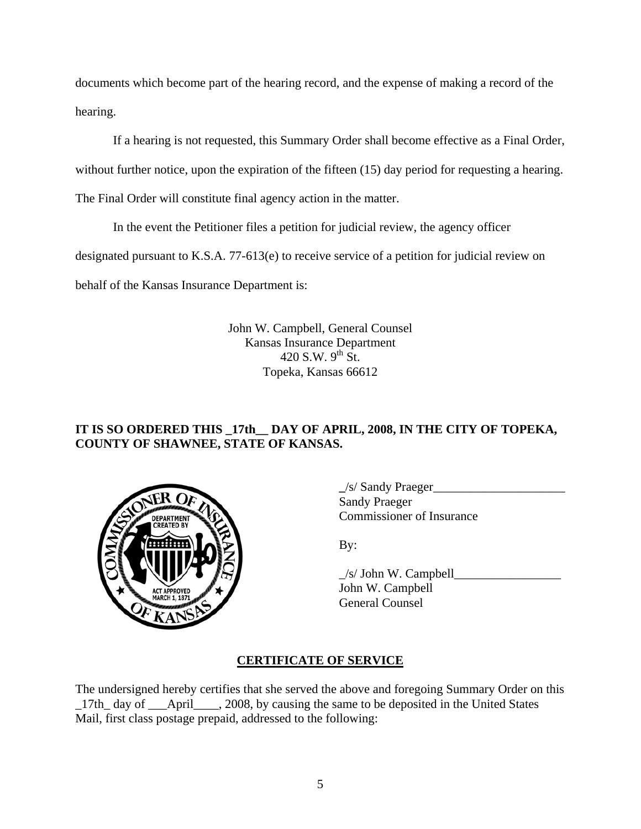documents which become part of the hearing record, and the expense of making a record of the hearing.

If a hearing is not requested, this Summary Order shall become effective as a Final Order,

without further notice, upon the expiration of the fifteen (15) day period for requesting a hearing.

The Final Order will constitute final agency action in the matter.

In the event the Petitioner files a petition for judicial review, the agency officer

designated pursuant to K.S.A. 77-613(e) to receive service of a petition for judicial review on

behalf of the Kansas Insurance Department is:

John W. Campbell, General Counsel Kansas Insurance Department 420 S.W.  $9^{th}$  St. Topeka, Kansas 66612

# **IT IS SO ORDERED THIS \_17th\_\_ DAY OF APRIL, 2008, IN THE CITY OF TOPEKA, COUNTY OF SHAWNEE, STATE OF KANSAS.**



 **\_**/s/ Sandy Praeger\_\_\_\_\_\_\_\_\_\_\_\_\_\_\_\_\_\_\_\_\_ **Sandy Praeger** Commissioner of Insurance

 $\angle$ s/ John W. Campbell $\angle$  John W. Campbell General Counsel

# **CERTIFICATE OF SERVICE**

The undersigned hereby certifies that she served the above and foregoing Summary Order on this 17th day of April , 2008, by causing the same to be deposited in the United States Mail, first class postage prepaid, addressed to the following: